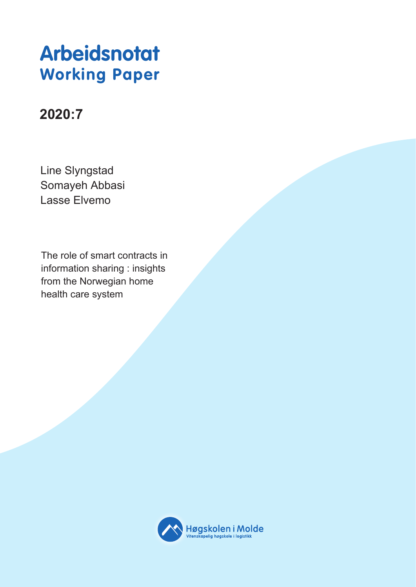# **Arbeidsnotat Working Paper**

# **2020:7**

Line Slyngstad Somayeh Abbasi Lasse Elvemo

The role of smart contracts in information sharing : insights from the Norwegian home health care system

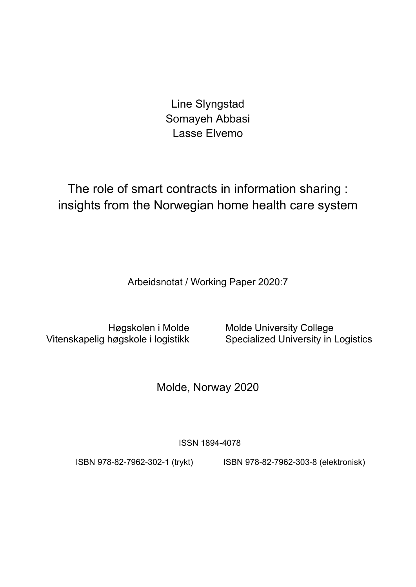Line Slyngstad Somayeh Abbasi Lasse Elvemo

The role of smart contracts in information sharing : insights from the Norwegian home health care system

Arbeidsnotat / Working Paper 2020:7

Vitenskapelig høgskole i logistikk

Høgskolen i Molde Molde University College<br>høgskole i logistikk Specialized University in Logistics

Molde, Norway 2020

ISSN 1894-4078

ISBN 978-82-7962-302-1 (trykt) ISBN 978-82-7962-303-8 (elektronisk)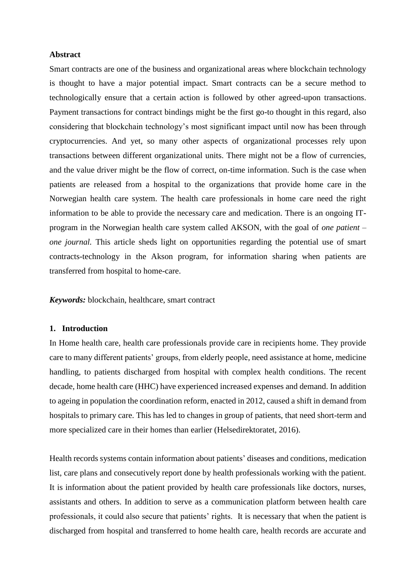### **Abstract**

Smart contracts are one of the business and organizational areas where blockchain technology is thought to have a major potential impact. Smart contracts can be a secure method to technologically ensure that a certain action is followed by other agreed-upon transactions. Payment transactions for contract bindings might be the first go-to thought in this regard, also considering that blockchain technology's most significant impact until now has been through cryptocurrencies. And yet, so many other aspects of organizational processes rely upon transactions between different organizational units. There might not be a flow of currencies, and the value driver might be the flow of correct, on-time information. Such is the case when patients are released from a hospital to the organizations that provide home care in the Norwegian health care system. The health care professionals in home care need the right information to be able to provide the necessary care and medication. There is an ongoing ITprogram in the Norwegian health care system called AKSON, with the goal of *one patient – one journal*. This article sheds light on opportunities regarding the potential use of smart contracts-technology in the Akson program, for information sharing when patients are transferred from hospital to home-care.

*Keywords:* blockchain, healthcare, smart contract

### **1. Introduction**

In Home health care, health care professionals provide care in recipients home. They provide care to many different patients' groups, from elderly people, need assistance at home, medicine handling, to patients discharged from hospital with complex health conditions. The recent decade, home health care (HHC) have experienced increased expenses and demand. In addition to ageing in population the coordination reform, enacted in 2012, caused a shift in demand from hospitals to primary care. This has led to changes in group of patients, that need short-term and more specialized care in their homes than earlier (Helsedirektoratet, 2016).

Health records systems contain information about patients' diseases and conditions, medication list, care plans and consecutively report done by health professionals working with the patient. It is information about the patient provided by health care professionals like doctors, nurses, assistants and others. In addition to serve as a communication platform between health care professionals, it could also secure that patients' rights. It is necessary that when the patient is discharged from hospital and transferred to home health care, health records are accurate and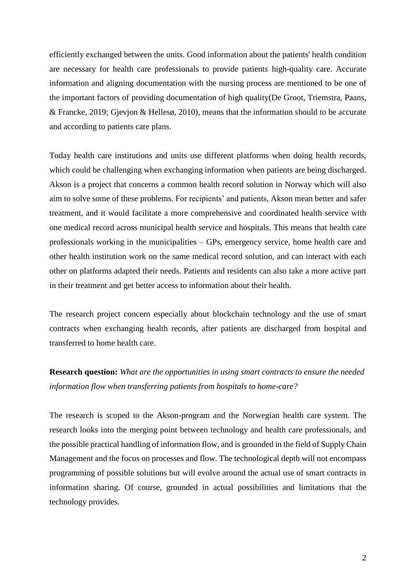efficiently exchanged between the units. Good information about the patients' health condition are necessary for health care professionals to provide patients high-quality care. Accurate information and aligning documentation with the nursing process are mentioned to be one of the important factors of providing documentation of high quality(De Groot, Triemstra, Paans, & Francke, 2019; Gjevjon & Hellesø, 2010), means that the information should to be accurate and according to patients care plans.

Today health care institutions and units use different platforms when doing health records, which could be challenging when exchanging information when patients are being discharged. Akson is a project that concerns a common health record solution in Norway which will also aim to solve some of these problems. For recipients' and patients, Akson mean better and safer treatment, and it would facilitate a more comprehensive and coordinated health service with one medical record across municipal health service and hospitals. This means that health care professionals working in the municipalities – GPs, emergency service, home health care and other health institution work on the same medical record solution, and can interact with each other on platforms adapted their needs. Patients and residents can also take a more active part in their treatment and get better access to information about their health.

The research project concern especially about blockchain technology and the use of smart contracts when exchanging health records, after patients are discharged from hospital and transferred to home health care.

# **Research question:** *What are the opportunities in using smart contracts to ensure the needed information flow when transferring patients from hospitals to home-care?*

The research is scoped to the Akson-program and the Norwegian health care system. The research looks into the merging point between technology and health care professionals, and the possible practical handling of information flow, and is grounded in the field of Supply Chain Management and the focus on processes and flow. The technological depth will not encompass programming of possible solutions but will evolve around the actual use of smart contracts in information sharing. Of course, grounded in actual possibilities and limitations that the technology provides.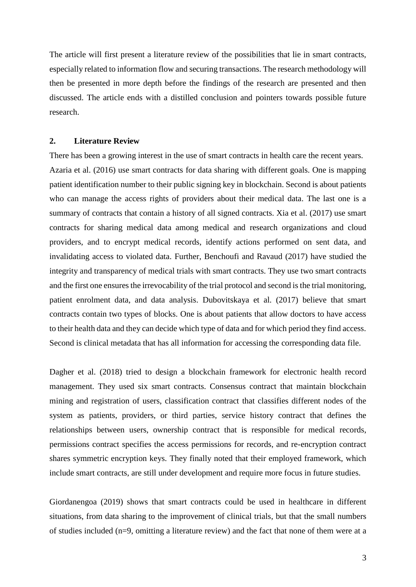The article will first present a literature review of the possibilities that lie in smart contracts, especially related to information flow and securing transactions. The research methodology will then be presented in more depth before the findings of the research are presented and then discussed. The article ends with a distilled conclusion and pointers towards possible future research.

### **2. Literature Review**

There has been a growing interest in the use of smart contracts in health care the recent years. Azaria et al. (2016) use smart contracts for data sharing with different goals. One is mapping patient identification number to their public signing key in blockchain. Second is about patients who can manage the access rights of providers about their medical data. The last one is a summary of contracts that contain a history of all signed contracts. Xia et al. (2017) use smart contracts for sharing medical data among medical and research organizations and cloud providers, and to encrypt medical records, identify actions performed on sent data, and invalidating access to violated data. Further, Benchoufi and Ravaud (2017) have studied the integrity and transparency of medical trials with smart contracts. They use two smart contracts and the first one ensures the irrevocability of the trial protocol and second is the trial monitoring, patient enrolment data, and data analysis. Dubovitskaya et al. (2017) believe that smart contracts contain two types of blocks. One is about patients that allow doctors to have access to their health data and they can decide which type of data and for which period they find access. Second is clinical metadata that has all information for accessing the corresponding data file.

Dagher et al. (2018) tried to design a blockchain framework for electronic health record management. They used six smart contracts. Consensus contract that maintain blockchain mining and registration of users, classification contract that classifies different nodes of the system as patients, providers, or third parties, service history contract that defines the relationships between users, ownership contract that is responsible for medical records, permissions contract specifies the access permissions for records, and re-encryption contract shares symmetric encryption keys. They finally noted that their employed framework, which include smart contracts, are still under development and require more focus in future studies.

Giordanengoa (2019) shows that smart contracts could be used in healthcare in different situations, from data sharing to the improvement of clinical trials, but that the small numbers of studies included (n=9, omitting a literature review) and the fact that none of them were at a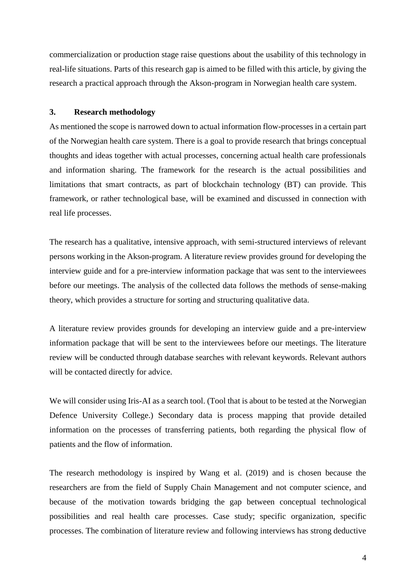commercialization or production stage raise questions about the usability of this technology in real-life situations. Parts of this research gap is aimed to be filled with this article, by giving the research a practical approach through the Akson-program in Norwegian health care system.

### **3. Research methodology**

As mentioned the scope is narrowed down to actual information flow-processes in a certain part of the Norwegian health care system. There is a goal to provide research that brings conceptual thoughts and ideas together with actual processes, concerning actual health care professionals and information sharing. The framework for the research is the actual possibilities and limitations that smart contracts, as part of blockchain technology (BT) can provide. This framework, or rather technological base, will be examined and discussed in connection with real life processes.

The research has a qualitative, intensive approach, with semi-structured interviews of relevant persons working in the Akson-program. A literature review provides ground for developing the interview guide and for a pre-interview information package that was sent to the interviewees before our meetings. The analysis of the collected data follows the methods of sense-making theory, which provides a structure for sorting and structuring qualitative data.

A literature review provides grounds for developing an interview guide and a pre-interview information package that will be sent to the interviewees before our meetings. The literature review will be conducted through database searches with relevant keywords. Relevant authors will be contacted directly for advice.

We will consider using Iris-AI as a search tool. (Tool that is about to be tested at the Norwegian Defence University College.) Secondary data is process mapping that provide detailed information on the processes of transferring patients, both regarding the physical flow of patients and the flow of information.

The research methodology is inspired by Wang et al. (2019) and is chosen because the researchers are from the field of Supply Chain Management and not computer science, and because of the motivation towards bridging the gap between conceptual technological possibilities and real health care processes. Case study; specific organization, specific processes. The combination of literature review and following interviews has strong deductive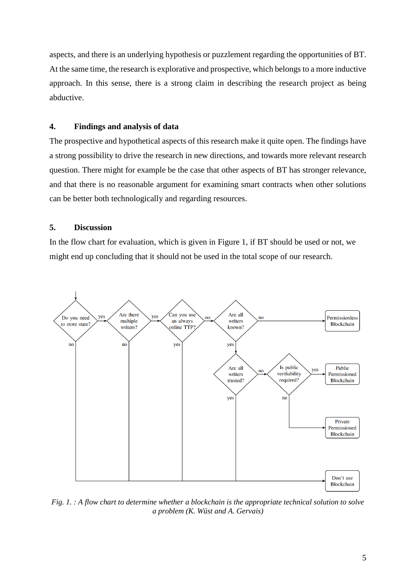aspects, and there is an underlying hypothesis or puzzlement regarding the opportunities of BT. At the same time, the research is explorative and prospective, which belongs to a more inductive approach. In this sense, there is a strong claim in describing the research project as being abductive.

# **4. Findings and analysis of data**

The prospective and hypothetical aspects of this research make it quite open. The findings have a strong possibility to drive the research in new directions, and towards more relevant research question. There might for example be the case that other aspects of BT has stronger relevance, and that there is no reasonable argument for examining smart contracts when other solutions can be better both technologically and regarding resources.

## **5. Discussion**

In the flow chart for evaluation, which is given in Figure 1, if BT should be used or not, we might end up concluding that it should not be used in the total scope of our research.



*Fig. 1. : A flow chart to determine whether a blockchain is the appropriate technical solution to solve a problem (K. Wüst and A. Gervais)*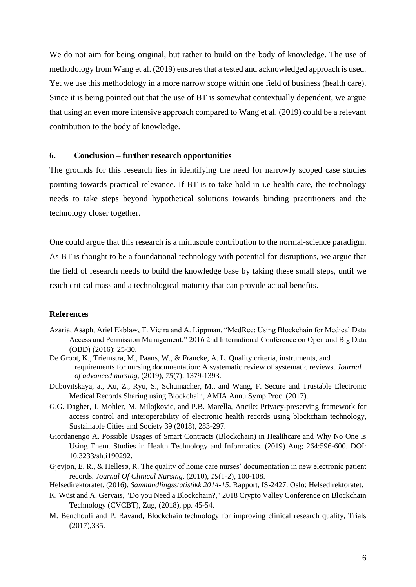We do not aim for being original, but rather to build on the body of knowledge. The use of methodology from Wang et al. (2019) ensures that a tested and acknowledged approach is used. Yet we use this methodology in a more narrow scope within one field of business (health care). Since it is being pointed out that the use of BT is somewhat contextually dependent, we argue that using an even more intensive approach compared to Wang et al. (2019) could be a relevant contribution to the body of knowledge.

### **6. Conclusion – further research opportunities**

The grounds for this research lies in identifying the need for narrowly scoped case studies pointing towards practical relevance. If BT is to take hold in i.e health care, the technology needs to take steps beyond hypothetical solutions towards binding practitioners and the technology closer together.

One could argue that this research is a minuscule contribution to the normal-science paradigm. As BT is thought to be a foundational technology with potential for disruptions, we argue that the field of research needs to build the knowledge base by taking these small steps, until we reach critical mass and a technological maturity that can provide actual benefits.

### **References**

- Azaria, Asaph, Ariel Ekblaw, T. Vieira and A. Lippman. "MedRec: Using Blockchain for Medical Data Access and Permission Management." 2016 2nd International Conference on Open and Big Data (OBD) (2016): 25-30.
- De Groot, K., Triemstra, M., Paans, W., & Francke, A. L. Quality criteria, instruments, and requirements for nursing documentation: A systematic review of systematic reviews. *Journal of advanced nursing,* (2019), *75*(7), 1379-1393.
- Dubovitskaya, a., Xu, Z., Ryu, S., Schumacher, M., and Wang, F. Secure and Trustable Electronic Medical Records Sharing using Blockchain, AMIA Annu Symp Proc. (2017).
- G.G. Dagher, J. Mohler, M. Milojkovic, and P.B. Marella, Ancile: Privacy-preserving framework for access control and interoperability of electronic health records using blockchain technology, Sustainable Cities and Society 39 (2018), 283-297.
- Giordanengo A. Possible Usages of Smart Contracts (Blockchain) in Healthcare and Why No One Is Using Them. Studies in Health Technology and Informatics. (2019) Aug; 264:596-600. DOI: 10.3233/shti190292.
- Gjevjon, E. R., & Hellesø, R. The quality of home care nurses' documentation in new electronic patient records. *Journal Of Clinical Nursing,* (2010), *19*(1‐2), 100-108.
- Helsedirektoratet. (2016). *Samhandlingsstatistikk 2014-15*. Rapport, IS-2427. Oslo: Helsedirektoratet.
- K. Wüst and A. Gervais, "Do you Need a Blockchain?," 2018 Crypto Valley Conference on Blockchain Technology (CVCBT), Zug, (2018), pp. 45-54.
- M. Benchoufi and P. Ravaud, Blockchain technology for improving clinical research quality, Trials (2017),335.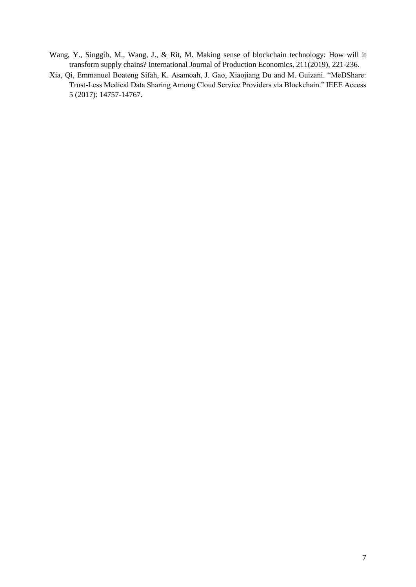- Wang, Y., Singgih, M., Wang, J., & Rit, M. Making sense of blockchain technology: How will it transform supply chains? International Journal of Production Economics, 211(2019), 221-236.
- Xia, Qi, Emmanuel Boateng Sifah, K. Asamoah, J. Gao, Xiaojiang Du and M. Guizani. "MeDShare: Trust-Less Medical Data Sharing Among Cloud Service Providers via Blockchain." IEEE Access 5 (2017): 14757-14767.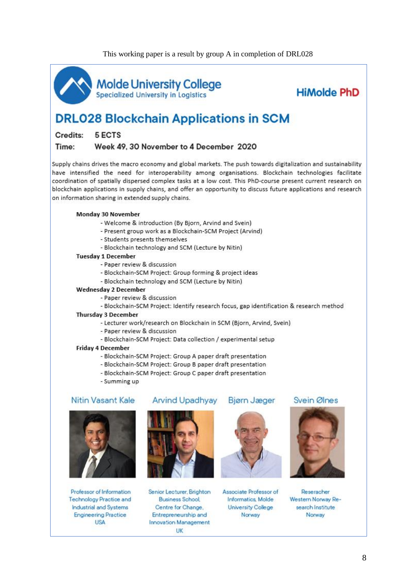

Molde University College<br>Specialized University in Logistics

**HiMolde PhD** 

# **DRL028 Blockchain Applications in SCM**

Credits: 5 FCTS

Time: Week 49, 30 November to 4 December 2020

Supply chains drives the macro economy and global markets. The push towards digitalization and sustainability have intensified the need for interoperability among organisations. Blockchain technologies facilitate coordination of spatially dispersed complex tasks at a low cost. This PhD-course present current research on blockchain applications in supply chains, and offer an opportunity to discuss future applications and research on information sharing in extended supply chains.

### Monday 30 November

- Welcome & introduction (By Bjorn, Arvind and Svein)
- Present group work as a Blockchain-SCM Project (Arvind)
- Students presents themselves
- Blockchain technology and SCM (Lecture by Nitin)

### **Tuesday 1 December**

- Paper review & discussion
- Blockchain-SCM Project: Group forming & project ideas
- Blockchain technology and SCM (Lecture by Nitin)

### **Wednesday 2 December**

- Paper review & discussion
- Blockchain-SCM Project: Identify research focus, gap identification & research method

### **Thursday 3 December**

- Lecturer work/research on Blockchain in SCM (Bjorn, Arvind, Svein)
- Paper review & discussion
- Blockchain-SCM Project: Data collection / experimental setup

### **Friday 4 December**

- Blockchain-SCM Project: Group A paper draft presentation
- Blockchain-SCM Project: Group B paper draft presentation
- Blockchain-SCM Project: Group C paper draft presentation
- Summing up

### Nitin Vasant Kale



Professor of Information **Technology Practice and** Industrial and Systems **Engineering Practice USA** 

## **Arvind Upadhyay**





Senior Lecturer, Brighton **Business School** Centre for Change. Entrepreneurship and Innovation Management UK



Associate Professor of Informatics, Molde **University College** Norway



Reseracher Western Norway Research Institute Norway

# Svein Ølnes